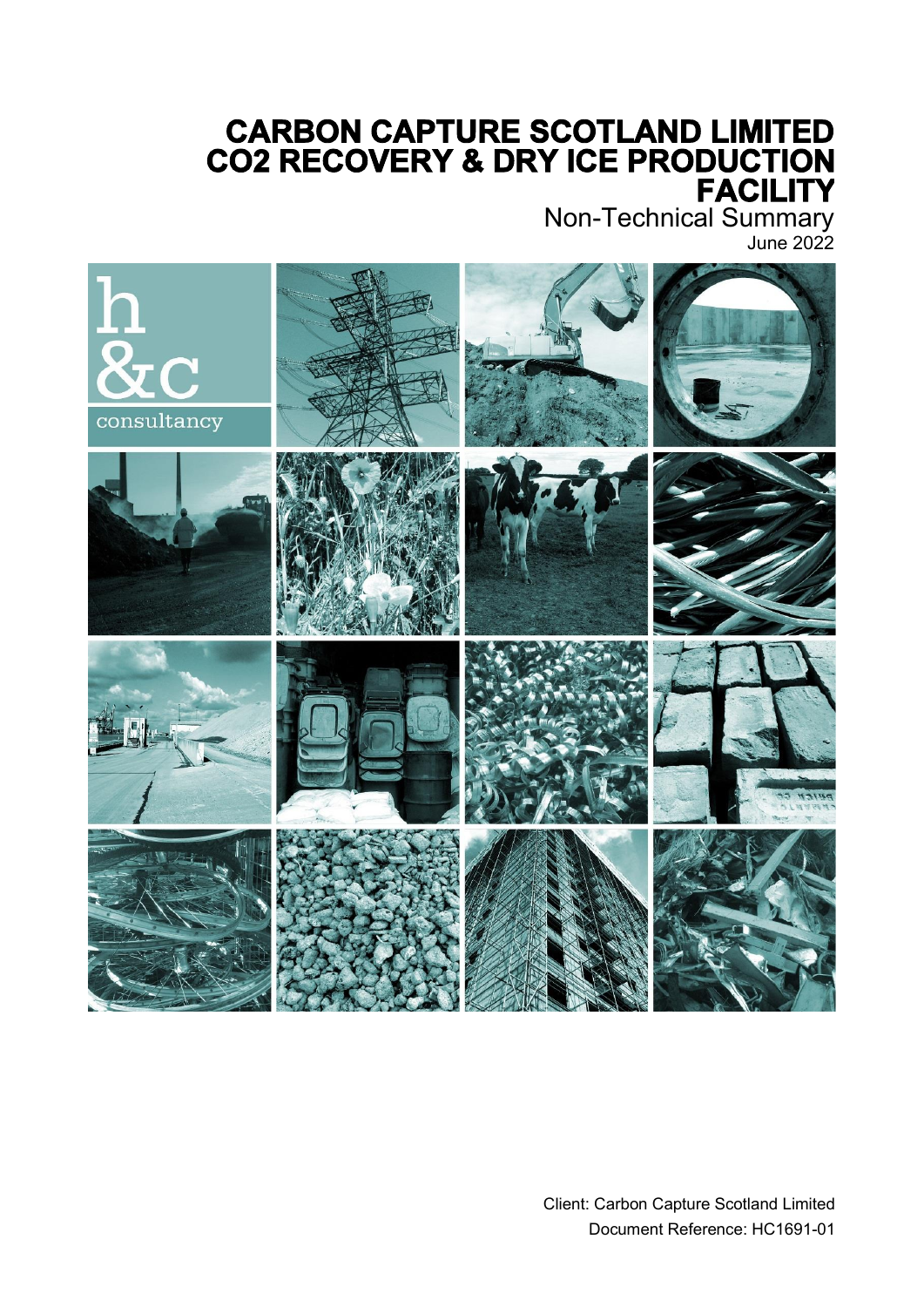# **CARBON CAPTURE SCOTLAND LIMITED CO2 RECOVERY & DRY ICE PRODUCTION**

Non-Technical Summary June 2022

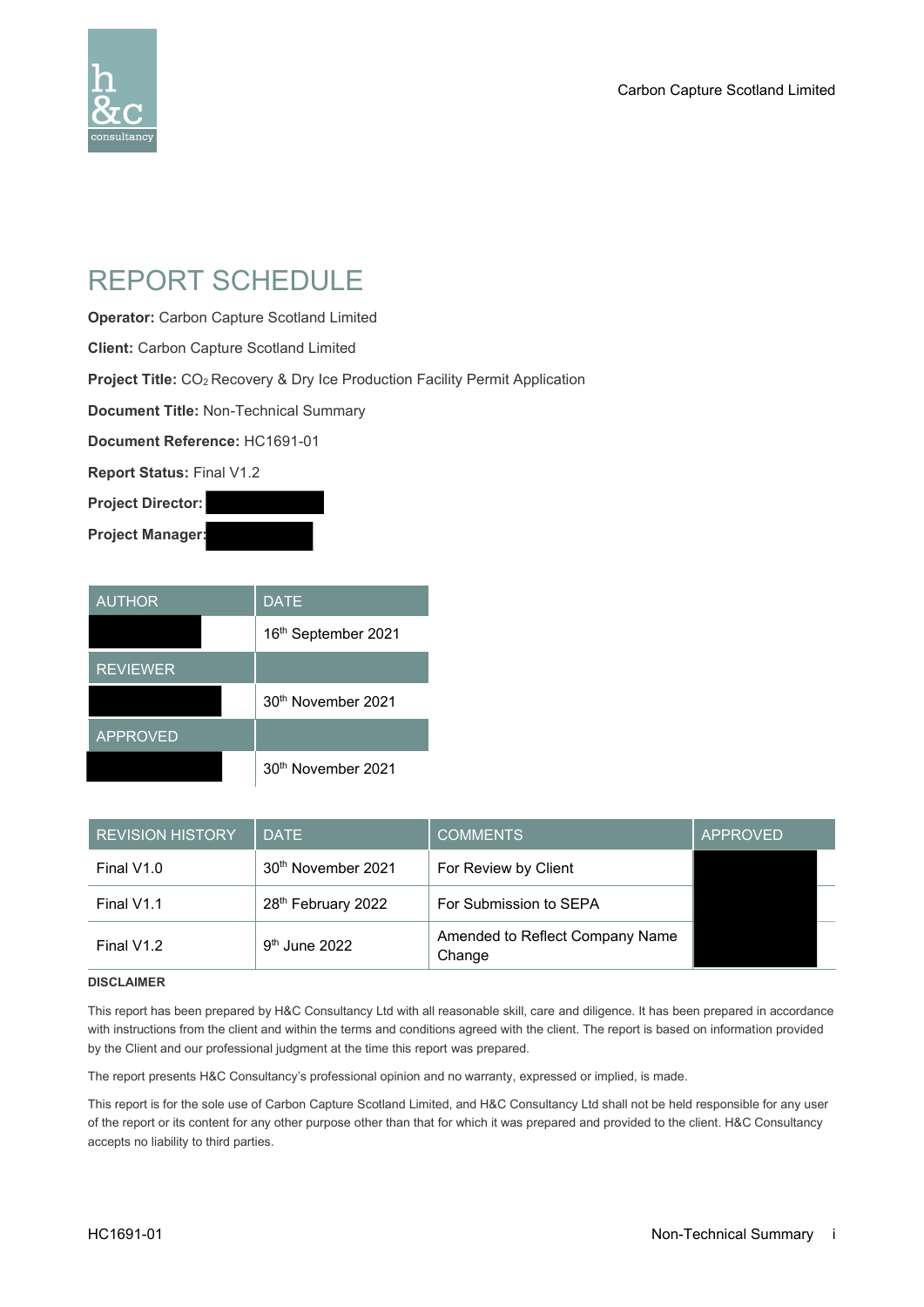

### REPORT SCHEDULE

**Operator:** Carbon Capture Scotland Limited

**Client:** Carbon Capture Scotland Limited

**Project Title:** CO<sub>2</sub> Recovery & Dry Ice Production Facility Permit Application

**Document Title:** Non-Technical Summary

**Document Reference:** HC1691-01

**Report Status:** Final V1.2

**Project Director:**

**Project Manager:**

| <b>AUTHOR</b>   | <b>DATE</b>                    |
|-----------------|--------------------------------|
|                 | 16th September 2021            |
| <b>REVIEWER</b> |                                |
|                 | 30 <sup>th</sup> November 2021 |
| <b>APPROVED</b> |                                |
|                 | 30th November 2021             |

| <b>REVISION HISTORY</b> | <b>DATE</b>                    | <b>COMMENTS</b>                           | <b>APPROVED</b> |
|-------------------------|--------------------------------|-------------------------------------------|-----------------|
| Final V1.0              | 30 <sup>th</sup> November 2021 | For Review by Client                      |                 |
| Final V1.1              | 28 <sup>th</sup> February 2022 | For Submission to SEPA                    |                 |
| Final V1.2              | $9th$ June 2022                | Amended to Reflect Company Name<br>Change |                 |

#### **DISCLAIMER**

This report has been prepared by H&C Consultancy Ltd with all reasonable skill, care and diligence. It has been prepared in accordance with instructions from the client and within the terms and conditions agreed with the client. The report is based on information provided by the Client and our professional judgment at the time this report was prepared.

The report presents H&C Consultancy's professional opinion and no warranty, expressed or implied, is made.

This report is for the sole use of Carbon Capture Scotland Limited, and H&C Consultancy Ltd shall not be held responsible for any user of the report or its content for any other purpose other than that for which it was prepared and provided to the client. H&C Consultancy accepts no liability to third parties.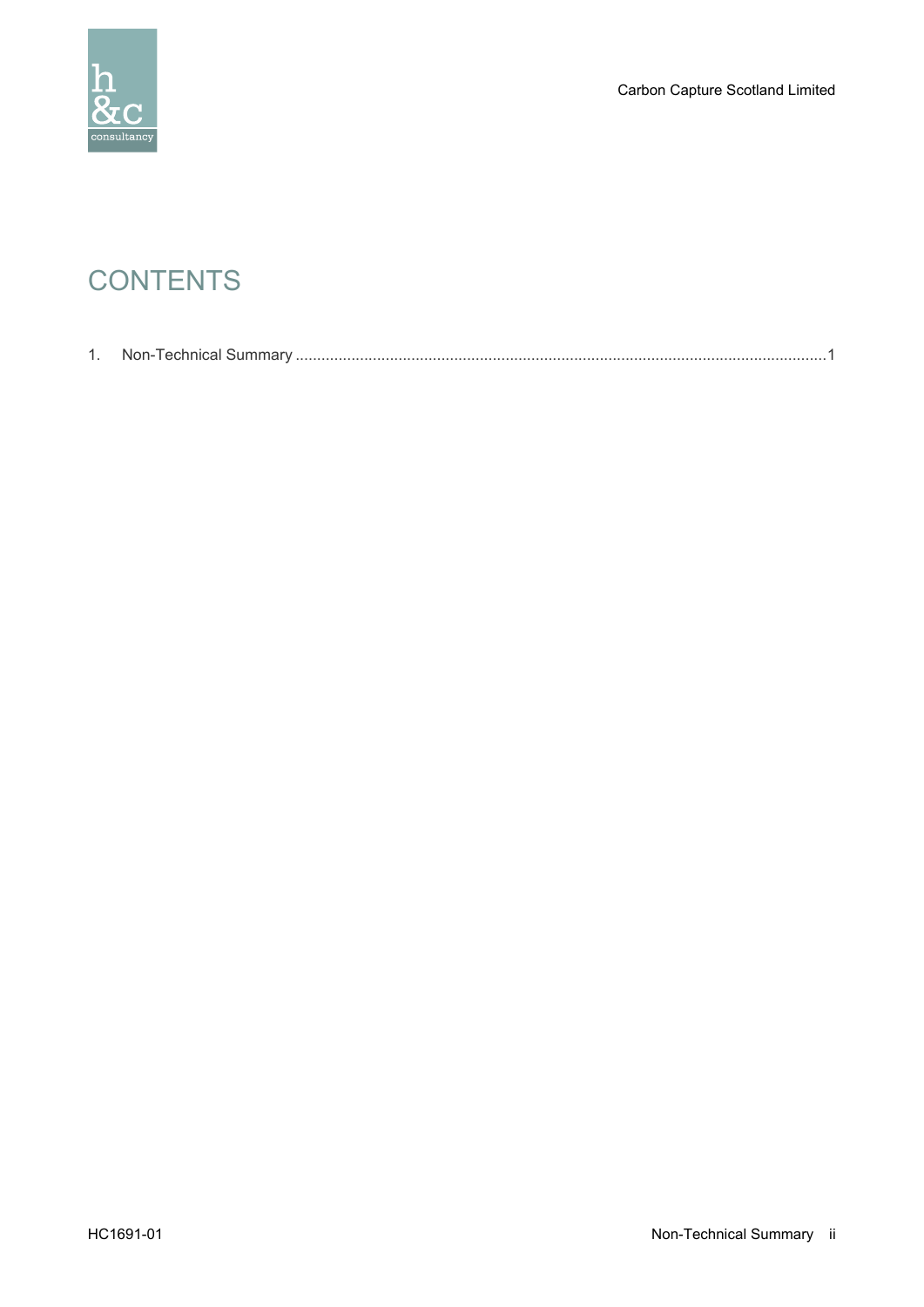

Carbon Capture Scotland Limited

## **CONTENTS**

|--|--|--|--|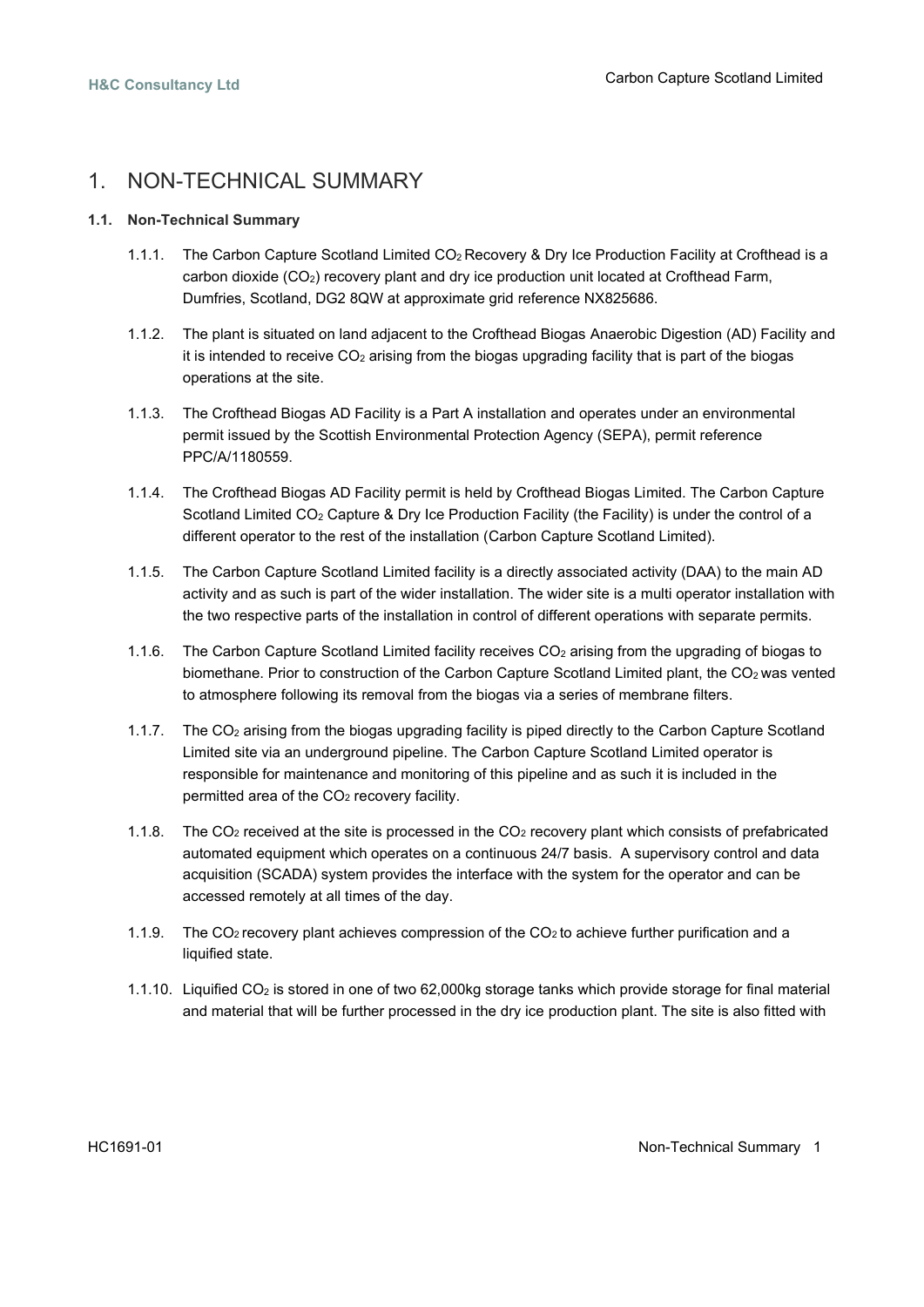### <span id="page-3-0"></span>1. NON-TECHNICAL SUMMARY

#### **1.1. Non-Technical Summary**

- 1.1.1. The Carbon Capture Scotland Limited CO2 Recovery & Dry Ice Production Facility at Crofthead is a carbon dioxide  $(CO<sub>2</sub>)$  recovery plant and dry ice production unit located at Crofthead Farm, Dumfries, Scotland, DG2 8QW at approximate grid reference NX825686.
- 1.1.2. The plant is situated on land adjacent to the Crofthead Biogas Anaerobic Digestion (AD) Facility and it is intended to receive  $CO<sub>2</sub>$  arising from the biogas upgrading facility that is part of the biogas operations at the site.
- 1.1.3. The Crofthead Biogas AD Facility is a Part A installation and operates under an environmental permit issued by the Scottish Environmental Protection Agency (SEPA), permit reference PPC/A/1180559.
- 1.1.4. The Crofthead Biogas AD Facility permit is held by Crofthead Biogas Limited. The Carbon Capture Scotland Limited  $CO<sub>2</sub>$  Capture & Dry Ice Production Facility (the Facility) is under the control of a different operator to the rest of the installation (Carbon Capture Scotland Limited).
- 1.1.5. The Carbon Capture Scotland Limited facility is a directly associated activity (DAA) to the main AD activity and as such is part of the wider installation. The wider site is a multi operator installation with the two respective parts of the installation in control of different operations with separate permits.
- 1.1.6. The Carbon Capture Scotland Limited facility receives CO<sub>2</sub> arising from the upgrading of biogas to biomethane. Prior to construction of the Carbon Capture Scotland Limited plant, the CO<sub>2</sub> was vented to atmosphere following its removal from the biogas via a series of membrane filters.
- 1.1.7. The CO<sup>2</sup> arising from the biogas upgrading facility is piped directly to the Carbon Capture Scotland Limited site via an underground pipeline. The Carbon Capture Scotland Limited operator is responsible for maintenance and monitoring of this pipeline and as such it is included in the permitted area of the CO<sub>2</sub> recovery facility.
- 1.1.8. The CO<sup>2</sup> received at the site is processed in the CO<sup>2</sup> recovery plant which consists of prefabricated automated equipment which operates on a continuous 24/7 basis. A supervisory control and data acquisition (SCADA) system provides the interface with the system for the operator and can be accessed remotely at all times of the day.
- 1.1.9. The CO<sub>2</sub> recovery plant achieves compression of the CO<sub>2</sub> to achieve further purification and a liquified state.
- 1.1.10. Liquified CO<sup>2</sup> is stored in one of two 62,000kg storage tanks which provide storage for final material and material that will be further processed in the dry ice production plant. The site is also fitted with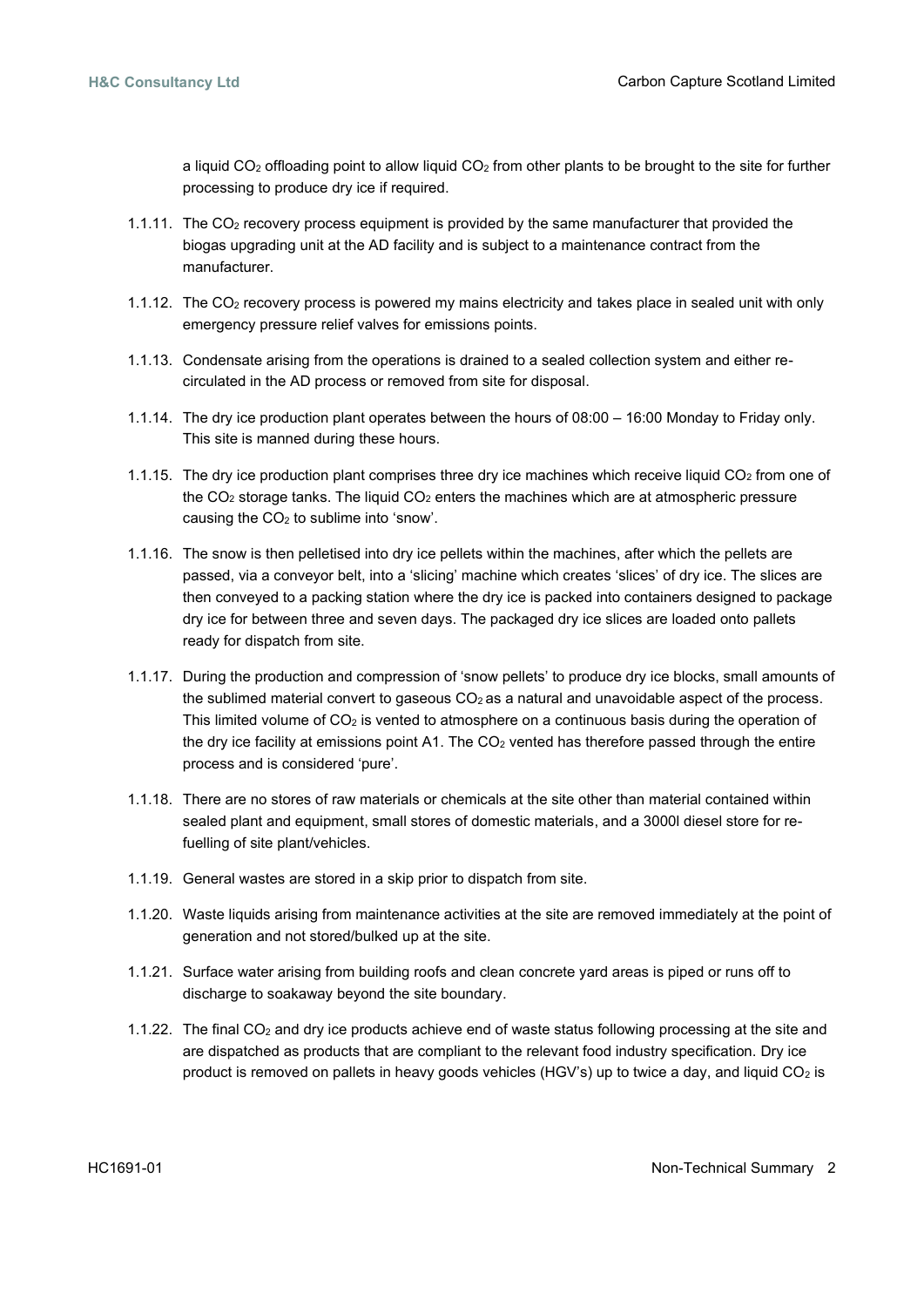a liquid CO<sub>2</sub> offloading point to allow liquid CO<sub>2</sub> from other plants to be brought to the site for further processing to produce dry ice if required.

- 1.1.11. The CO<sup>2</sup> recovery process equipment is provided by the same manufacturer that provided the biogas upgrading unit at the AD facility and is subject to a maintenance contract from the manufacturer.
- 1.1.12. The CO<sup>2</sup> recovery process is powered my mains electricity and takes place in sealed unit with only emergency pressure relief valves for emissions points.
- 1.1.13. Condensate arising from the operations is drained to a sealed collection system and either recirculated in the AD process or removed from site for disposal.
- 1.1.14. The dry ice production plant operates between the hours of 08:00 16:00 Monday to Friday only. This site is manned during these hours.
- 1.1.15. The dry ice production plant comprises three dry ice machines which receive liquid  $CO<sub>2</sub>$  from one of the  $CO<sub>2</sub>$  storage tanks. The liquid  $CO<sub>2</sub>$  enters the machines which are at atmospheric pressure causing the CO<sup>2</sup> to sublime into 'snow'.
- 1.1.16. The snow is then pelletised into dry ice pellets within the machines, after which the pellets are passed, via a conveyor belt, into a 'slicing' machine which creates 'slices' of dry ice. The slices are then conveyed to a packing station where the dry ice is packed into containers designed to package dry ice for between three and seven days. The packaged dry ice slices are loaded onto pallets ready for dispatch from site.
- 1.1.17. During the production and compression of 'snow pellets' to produce dry ice blocks, small amounts of the sublimed material convert to gaseous  $CO<sub>2</sub>$  as a natural and unavoidable aspect of the process. This limited volume of  $CO<sub>2</sub>$  is vented to atmosphere on a continuous basis during the operation of the dry ice facility at emissions point A1. The CO<sub>2</sub> vented has therefore passed through the entire process and is considered 'pure'.
- 1.1.18. There are no stores of raw materials or chemicals at the site other than material contained within sealed plant and equipment, small stores of domestic materials, and a 3000l diesel store for refuelling of site plant/vehicles.
- 1.1.19. General wastes are stored in a skip prior to dispatch from site.
- 1.1.20. Waste liquids arising from maintenance activities at the site are removed immediately at the point of generation and not stored/bulked up at the site.
- 1.1.21. Surface water arising from building roofs and clean concrete yard areas is piped or runs off to discharge to soakaway beyond the site boundary.
- 1.1.22. The final CO<sup>2</sup> and dry ice products achieve end of waste status following processing at the site and are dispatched as products that are compliant to the relevant food industry specification. Dry ice product is removed on pallets in heavy goods vehicles (HGV's) up to twice a day, and liquid  $CO<sub>2</sub>$  is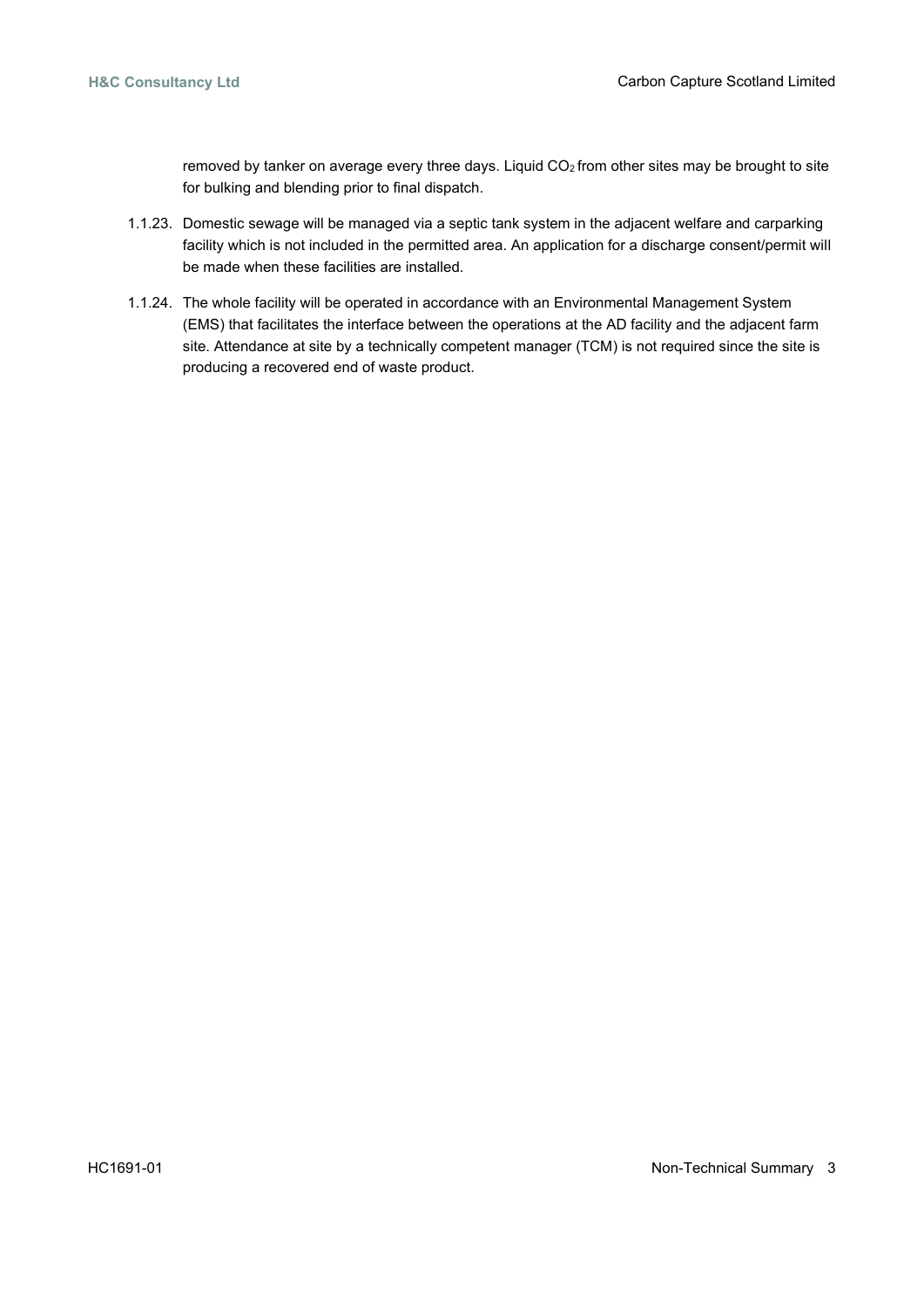removed by tanker on average every three days. Liquid CO<sub>2</sub> from other sites may be brought to site for bulking and blending prior to final dispatch.

- 1.1.23. Domestic sewage will be managed via a septic tank system in the adjacent welfare and carparking facility which is not included in the permitted area. An application for a discharge consent/permit will be made when these facilities are installed.
- 1.1.24. The whole facility will be operated in accordance with an Environmental Management System (EMS) that facilitates the interface between the operations at the AD facility and the adjacent farm site. Attendance at site by a technically competent manager (TCM) is not required since the site is producing a recovered end of waste product.